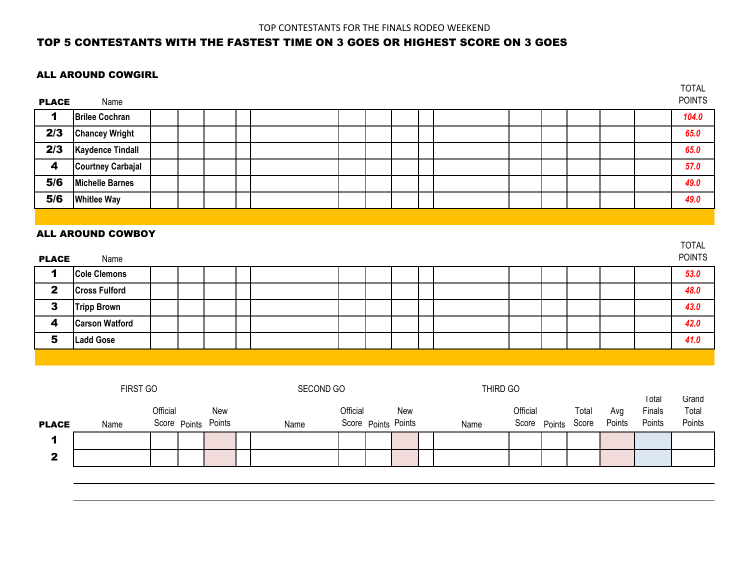$\overline{ }$ 

### TOP 5 CONTESTANTS WITH THE FASTEST TIME ON 3 GOES OR HIGHEST SCORE ON 3 GOES

#### ALL AROUND COWGIRL

| <b>PLACE</b>            | Name                             |  |  |  |  |  |  |  | <b>IOIAL</b><br><b>POINTS</b> |
|-------------------------|----------------------------------|--|--|--|--|--|--|--|-------------------------------|
| 1                       | <b>Brilee Cochran</b>            |  |  |  |  |  |  |  | 104.0                         |
| 2/3                     | <b>Chancey Wright</b>            |  |  |  |  |  |  |  | 65.0                          |
| 2/3                     | <b>Kaydence Tindall</b>          |  |  |  |  |  |  |  | 65.0                          |
| $\overline{\mathbf{4}}$ | <b>Courtney Carbajal</b>         |  |  |  |  |  |  |  | 57.0                          |
| 5/6                     | <b>Michelle Barnes</b>           |  |  |  |  |  |  |  | 49.0                          |
| 5/6                     | <b>Whitlee Way</b>               |  |  |  |  |  |  |  | 49.0                          |
|                         |                                  |  |  |  |  |  |  |  |                               |
| <b>PLACE</b>            | <b>ALL AROUND COWBOY</b><br>Name |  |  |  |  |  |  |  | <b>TOTAL</b><br><b>POINTS</b> |
| 1                       | <b>Cole Clemons</b>              |  |  |  |  |  |  |  | 53.0                          |
| $\mathbf{2}$            | <b>Cross Fulford</b>             |  |  |  |  |  |  |  | 48.0                          |
| $\mathbf{3}$            | <b>Tripp Brown</b>               |  |  |  |  |  |  |  | 43.0                          |
| $\boldsymbol{4}$        | <b>Carson Watford</b>            |  |  |  |  |  |  |  | 42.0                          |
| $\overline{\mathbf{5}}$ | <b>Ladd Gose</b>                 |  |  |  |  |  |  |  | 41.0                          |

|              | <b>FIRST GO</b> |          |                            | SECOND GO |          |                            | THIRD GO |          |              |                |               | Total            | Grand           |
|--------------|-----------------|----------|----------------------------|-----------|----------|----------------------------|----------|----------|--------------|----------------|---------------|------------------|-----------------|
| <b>PLACE</b> | Name            | Official | New<br>Score Points Points | Name      | Official | New<br>Score Points Points | Name     | Official | Score Points | Total<br>Score | Avg<br>Points | Finals<br>Points | Total<br>Points |
| А            |                 |          |                            |           |          |                            |          |          |              |                |               |                  |                 |
| $\mathbf{2}$ |                 |          |                            |           |          |                            |          |          |              |                |               |                  |                 |
|              |                 |          |                            |           |          |                            |          |          |              |                |               |                  |                 |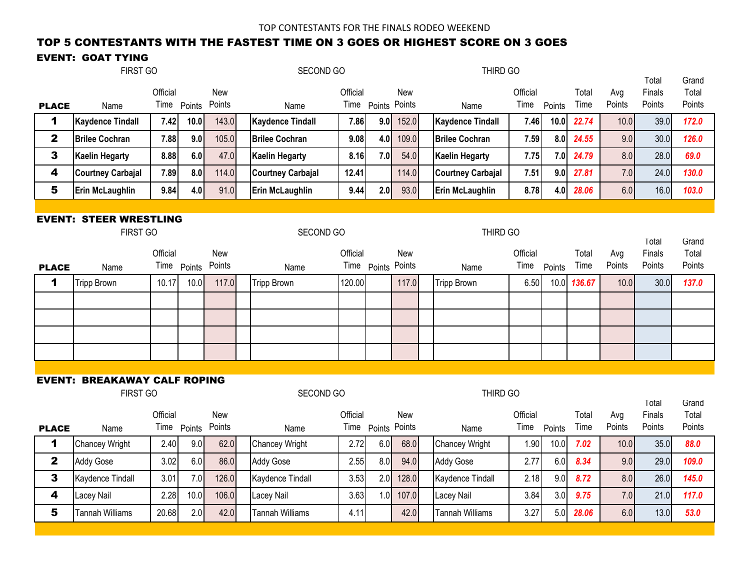## TOP 5 CONTESTANTS WITH THE FASTEST TIME ON 3 GOES OR HIGHEST SCORE ON 3 GOES

## EVENT: GOAT TYING

|                         | FIRST GO                                  |                  |             |               | SECOND GO                |          |                    | THIRD GO   |  |                          |                  |        |               |               |                            |                          |
|-------------------------|-------------------------------------------|------------------|-------------|---------------|--------------------------|----------|--------------------|------------|--|--------------------------|------------------|--------|---------------|---------------|----------------------------|--------------------------|
| <b>PLACE</b>            | Name                                      | Official<br>Time | Points      | New<br>Points | Name                     | Official | Time Points Points | New        |  | Name                     | Official<br>Time | Points | Total<br>Time | Avg<br>Points | I otal<br>Finals<br>Points | Grand<br>Total<br>Points |
| 1                       | <b>Kaydence Tindall</b>                   | 7.42             | 10.0        | 143.0         | <b>Kaydence Tindall</b>  | 7.86     | 9.0                | 152.0      |  | <b>Kaydence Tindall</b>  | 7.46             | 10.0   | 22.74         | 10.0          | 39.0                       | 172.0                    |
| $\overline{\mathbf{2}}$ | <b>Brilee Cochran</b>                     | 7.88             | 9.0         | 105.0         | <b>Brilee Cochran</b>    | 9.08     | 4.0                | 109.0      |  | <b>Brilee Cochran</b>    | 7.59             | 8.0    | 24.55         | 9.0           | 30.0                       | 126.0                    |
| 3                       | <b>Kaelin Hegarty</b>                     | 8.88             | 6.0         | 47.0          | <b>Kaelin Hegarty</b>    | 8.16     | 7.0                | 54.0       |  | <b>Kaelin Hegarty</b>    | 7.75             | 7.0    | 24.79         | 8.0           | 28.0                       | 69.0                     |
| 4                       | <b>Courtney Carbajal</b>                  | 7.89             | 8.0         | 114.0         | <b>Courtney Carbajal</b> | 12.41    |                    | 114.0      |  | <b>Courtney Carbajal</b> | 7.51             | 9.0    | 27.81         | 7.0           | 24.0                       | 130.0                    |
| 5                       | <b>Erin McLaughlin</b>                    | 9.84             | 4.0         | 91.0          | <b>Erin McLaughlin</b>   | 9.44     | 2.0                | 93.0       |  | Erin McLaughlin          | 8.78             | 4.0    | 28.06         | 6.0           | 16.0                       | 103.0                    |
|                         |                                           |                  |             |               |                          |          |                    |            |  |                          |                  |        |               |               |                            |                          |
|                         | <b>EVENT: STEER WRESTLING</b><br>FIRST GO |                  |             |               | SECOND GO                |          |                    |            |  | THIRD GO                 |                  |        |               |               | I otal                     | Grand                    |
|                         |                                           | Official         |             | <b>New</b>    |                          | Official |                    | <b>New</b> |  |                          | Official         |        | Total         | Avg           | Finals                     | Total                    |
| <b>PLACE</b>            | Name                                      |                  | Time Points | Points        | Name                     |          | Time Points Points |            |  | Name                     | Time             | Points | Time          | Points        | Points                     | Points                   |
| 1                       | <b>Tripp Brown</b>                        | 10.17            | 10.0        | 117.0         | <b>Tripp Brown</b>       | 120.00   |                    | 117.0      |  | <b>Tripp Brown</b>       | 6.50             | 10.0   | 136.67        | 10.0          | 30.0                       | 137.0                    |
|                         |                                           |                  |             |               |                          |          |                    |            |  |                          |                  |        |               |               |                            |                          |
|                         |                                           |                  |             |               |                          |          |                    |            |  |                          |                  |        |               |               |                            |                          |
|                         |                                           |                  |             |               |                          |          |                    |            |  |                          |                  |        |               |               |                            |                          |
|                         |                                           |                  |             |               |                          |          |                    |            |  |                          |                  |        |               |               |                            |                          |
|                         |                                           |                  |             |               |                          |          |                    |            |  |                          |                  |        |               |               |                            |                          |
|                         | <b>EVENT: BREAKAWAY CALF ROPING</b>       |                  |             |               |                          |          |                    |            |  |                          |                  |        |               |               |                            |                          |
|                         | FIRST GO                                  |                  |             |               | SECOND GO                |          |                    |            |  | THIRD GO                 |                  |        |               |               | Total                      | Grand                    |
|                         |                                           | Official         |             | New           |                          | Official |                    | New        |  |                          | Official         |        | Total         | Avg           | Finals                     | Total                    |
| <b>PLACE</b>            | Name                                      |                  | Time Points | Points        | Name                     |          | Time Points Points |            |  | Name                     | Time             | Points | Time          | Points        | Points                     | Points                   |
| 1                       | <b>Chancey Wright</b>                     | 2.40             | 9.0         | 62.0          | Chancey Wright           | 2.72     | 6.0                | 68.0       |  | <b>Chancey Wright</b>    | 1.90             | 10.0   | 7.02          | 10.0          | 35.0                       | 88.0                     |
| $\overline{\mathbf{2}}$ | <b>Addy Gose</b>                          | 3.02             | 6.0         | 86.0          | Addy Gose                | 2.55     | 8.0                | 94.0       |  | <b>Addy Gose</b>         | 2.77             | 6.0    | 8.34          | 9.0           | 29.0                       | 109.0                    |
| 3                       | Kaydence Tindall                          | 3.01             | 7.0         | 126.0         | Kaydence Tindall         | 3.53     | 2.0                | 128.0      |  | Kaydence Tindall         | 2.18             | 9.0    | 8.72          | 8.0           | 26.0                       | 145.0                    |
| 4                       | Lacey Nail                                | 2.28             | 10.0        | 106.0         | Lacey Nail               | 3.63     | 1.0                | 107.0      |  | Lacey Nail               | 3.84             | 3.0    | 9.75          | 7.0           | 21.0                       | 117.0                    |
| 5                       | Tannah Williams                           | 20.68            | 2.0         | 42.0          | <b>Tannah Williams</b>   | 4.11     |                    | 42.0       |  | <b>Tannah Williams</b>   | 3.27             | 5.0    | 28.06         | 6.0           | 13.0                       | 53.0                     |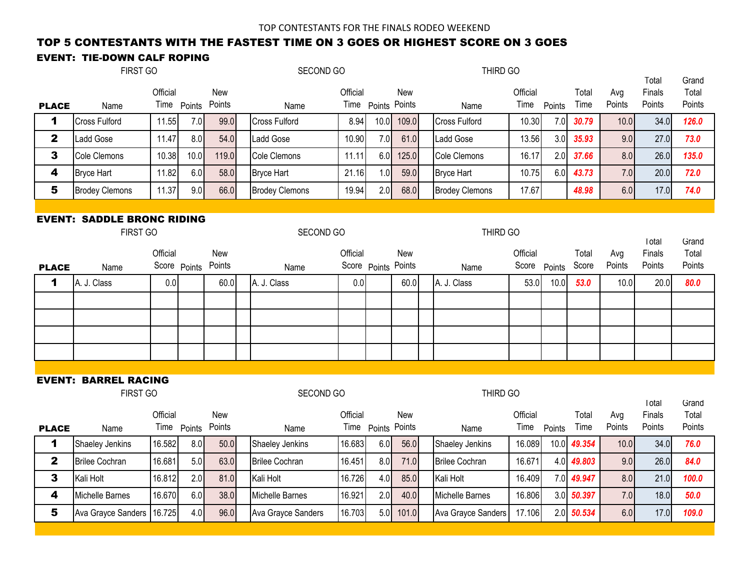## TOP 5 CONTESTANTS WITH THE FASTEST TIME ON 3 GOES OR HIGHEST SCORE ON 3 GOES

## EVENT: TIE-DOWN CALF ROPING

|                         | FIRST GO                                      |              |             |               | SECOND GO               | THIRD GO |                     |       |  |                         |                  |        |               | <b>I</b> otal | Grand            |                 |
|-------------------------|-----------------------------------------------|--------------|-------------|---------------|-------------------------|----------|---------------------|-------|--|-------------------------|------------------|--------|---------------|---------------|------------------|-----------------|
|                         |                                               | Official     |             | New           |                         | Official |                     | New   |  |                         | Official         |        | Total         | Avg           | Finals           | Total           |
| <b>PLACE</b>            | Name                                          |              | Time Points | Points        | Name                    |          | Time Points Points  |       |  | Name                    | Time             | Points | Time          | Points        | Points           | Points          |
| 1                       | Cross Fulford                                 | 11.55        | 7.0         | 99.0          | <b>Cross Fulford</b>    | 8.94     | 10.0                | 109.0 |  | <b>Cross Fulford</b>    | 10.30            | 7.0    | 30.79         | 10.0          | 34.0             | 126.0           |
| $\overline{\mathbf{2}}$ | Ladd Gose                                     | 11.47        | 8.0         | 54.0          | <b>Ladd Gose</b>        | 10.90    | 7.0                 | 61.0  |  | Ladd Gose               | 13.56            | 3.0    | 35.93         | 9.0           | 27.0             | 73.0            |
| 3                       | Cole Clemons                                  | 10.38        | 10.0        | 119.0         | Cole Clemons            | 11.11    | 6.0                 | 125.0 |  | Cole Clemons            | 16.17            | 2.0    | 37.66         | 8.0           | 26.0             | 135.0           |
| 4                       | <b>Bryce Hart</b>                             | 11.82        | 6.0         | 58.0          | <b>Bryce Hart</b>       | 21.16    | 1.0                 | 59.0  |  | <b>Bryce Hart</b>       | 10.75            | 6.0    | 43.73         | 7.0           | 20.0             | 72.0            |
| 5                       | <b>Brodey Clemons</b>                         | 11.37        | 9.0         | 66.0          | <b>Brodey Clemons</b>   | 19.94    | 2.0                 | 68.0  |  | <b>Brodey Clemons</b>   | 17.67            |        | 48.98         | 6.0           | 17.0             | 74.0            |
|                         |                                               |              |             |               |                         |          |                     |       |  |                         |                  |        |               |               |                  |                 |
|                         | <b>EVENT: SADDLE BRONC RIDING</b><br>FIRST GO |              |             |               | SECOND GO               |          |                     |       |  | THIRD GO                |                  |        |               |               | <b>I</b> otal    | Grand           |
|                         |                                               | Official     |             | New           |                         | Official |                     | New   |  |                         | Official         |        | Total         | Avg           | Finals           | Total           |
| <b>PLACE</b>            | Name                                          | Score Points |             | Points        | Name                    |          | Score Points Points |       |  | Name                    | Score            | Points | Score         | Points        | Points           | Points          |
| 1                       | A. J. Class                                   | 0.0          |             | 60.0          | A. J. Class             | 0.0      |                     | 60.0  |  | A. J. Class             | 53.0             | 10.0   | 53.0          | 10.0          | 20.0             | 80.0            |
|                         |                                               |              |             |               |                         |          |                     |       |  |                         |                  |        |               |               |                  |                 |
|                         |                                               |              |             |               |                         |          |                     |       |  |                         |                  |        |               |               |                  |                 |
|                         |                                               |              |             |               |                         |          |                     |       |  |                         |                  |        |               |               |                  |                 |
|                         |                                               |              |             |               |                         |          |                     |       |  |                         |                  |        |               |               |                  |                 |
|                         |                                               |              |             |               |                         |          |                     |       |  |                         |                  |        |               |               |                  |                 |
|                         | <b>EVENT: BARREL RACING</b><br>FIRST GO       |              |             |               | SECOND GO               |          |                     |       |  | THIRD GO                |                  |        |               |               |                  |                 |
|                         |                                               |              |             |               |                         |          |                     |       |  |                         |                  |        |               |               | Total            | Grand           |
|                         |                                               | Official     | Time Points | New<br>Points |                         | Official | Time Points Points  | New   |  |                         | Official<br>Time | Points | Total<br>Time | Avg<br>Points | Finals<br>Points | Total<br>Points |
| <b>PLACE</b><br>1       | Name<br>Shaeley Jenkins                       | 16.582       | 8.0         | 50.0          | Name<br>Shaeley Jenkins | 16.683   | 6.0                 | 56.0  |  | Name<br>Shaeley Jenkins | 16.089           | 10.0   | 49.354        | 10.0          | 34.0             | 76.0            |
| $\mathbf 2$             | <b>Brilee Cochran</b>                         | 16.681       | 5.0         | 63.0          | <b>Brilee Cochran</b>   | 16.451   | 8.0                 | 71.0  |  | <b>Brilee Cochran</b>   |                  |        |               | 9.0           | 26.0             | 84.0            |
|                         |                                               |              |             |               |                         |          |                     |       |  |                         | 16.671           | 4.0    | 49.803        |               |                  |                 |
| 3                       | Kali Holt                                     | 16.812       | 2.0         | 81.0          | Kali Holt               | 16.726   | 4.0                 | 85.0  |  | Kali Holt               | 16.409           | 7.0    | 49.947        | 8.0           | 21.0             | 100.0           |
| 4                       | Michelle Barnes                               | 16.670       | 6.0         | 38.0          | Michelle Barnes         | 16.921   | 2.0                 | 40.0  |  | Michelle Barnes         | 16.806           | 3.0    | 50.397        | 7.0           | 18.0             | 50.0            |
| 5                       | Ava Grayce Sanders                            | 16.725       | 4.0         | 96.0          | Ava Grayce Sanders      | 16.703   | 5.0                 | 101.0 |  | Ava Grayce Sanders      | 17.106           | 2.0    | 50.534        | 6.0           | 17.0             | 109.0           |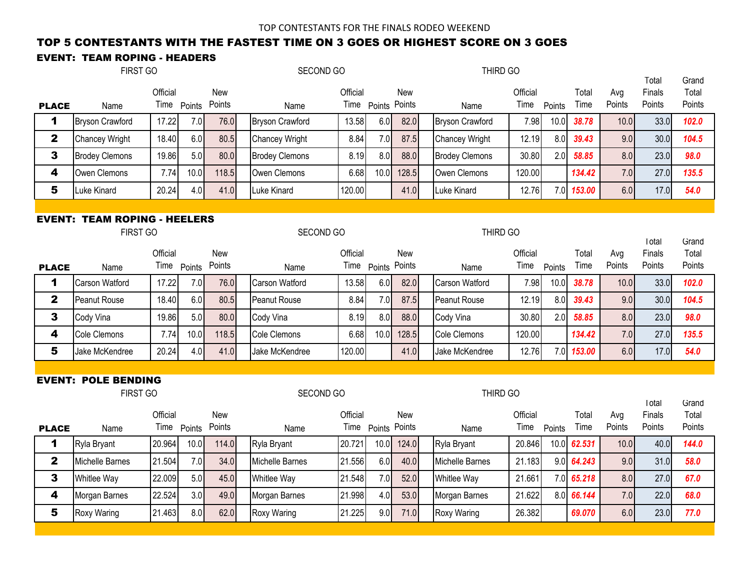## TOP 5 CONTESTANTS WITH THE FASTEST TIME ON 3 GOES OR HIGHEST SCORE ON 3 GOES

### EVENT: TEAM ROPING - HEADERS

|              | <b>FIRST GO</b>                                 |                         |             |                      | SECOND GO              |          |                    |            | THIRD GO               |                  |        |               |               |                            |                          |
|--------------|-------------------------------------------------|-------------------------|-------------|----------------------|------------------------|----------|--------------------|------------|------------------------|------------------|--------|---------------|---------------|----------------------------|--------------------------|
| <b>PLACE</b> | Name                                            | Official                | Time Points | <b>New</b><br>Points | Name                   | Official | Time Points Points | <b>New</b> | Name                   | Official<br>Time | Points | Total<br>Time | Avg<br>Points | I otal<br>Finals<br>Points | Grand<br>Total<br>Points |
| 1            | <b>Bryson Crawford</b>                          | 17.22                   | 7.0         | 76.0                 | <b>Bryson Crawford</b> | 13.58    | 6.0                | 82.0       | <b>Bryson Crawford</b> | 7.98             | 10.0   | 38.78         | 10.0          | 33.0                       | 102.0                    |
| $\mathbf 2$  | <b>Chancey Wright</b>                           | 18.40                   | 6.0         | 80.5                 | Chancey Wright         | 8.84     | 7.0                | 87.5       | Chancey Wright         | 12.19            | 8.0    | 39.43         | 9.0           | 30.0                       | 104.5                    |
| 3            | <b>Brodey Clemons</b>                           | 19.86                   | 5.0         | 80.0                 | <b>Brodey Clemons</b>  | 8.19     | 8.0                | 88.0       | <b>Brodey Clemons</b>  | 30.80            | 2.0    | 58.85         | 8.0           | 23.0                       | 98.0                     |
| 4            | Owen Clemons                                    | 7.74                    | 10.0        | 118.5                | Owen Clemons           | 6.68     | 10.0               | 128.5      | Owen Clemons           | 120.00           |        | 134.42        | 7.0           | 27.0                       | 135.5                    |
| 5            | Luke Kinard                                     | 20.24                   | 4.0         | 41.0                 | Luke Kinard            | 120.00   |                    | 41.0       | Luke Kinard            | 12.76            | 7.0    | 153.00        | 6.0           | 17.0                       | 54.0                     |
|              |                                                 |                         |             |                      |                        |          |                    |            |                        |                  |        |               |               |                            |                          |
|              | <b>EVENT: TEAM ROPING - HEELERS</b><br>FIRST GO |                         |             |                      | SECOND GO              |          |                    |            | THIRD GO               |                  |        |               |               | <b>l</b> otal              | Grand                    |
|              |                                                 | Official                |             | New                  |                        | Official |                    | New        |                        | Official         |        | Total         | Avg           | Finals                     | Total                    |
| <b>PLACE</b> | Name                                            |                         | Time Points | Points               | Name                   |          | Time Points Points |            | Name                   | Time             | Points | Time          | Points        | Points                     | Points                   |
| 1            | <b>Carson Watford</b>                           | 17.22                   | 7.0         | 76.0                 | Carson Watford         | 13.58    | 6.0                | 82.0       | <b>Carson Watford</b>  | 7.98             | 10.0   | 38.78         | 10.0          | 33.0                       | 102.0                    |
| 2            | Peanut Rouse                                    | 18.40                   | 6.0         | 80.5                 | Peanut Rouse           | 8.84     | 7.0                | 87.5       | Peanut Rouse           | 12.19            | 8.0    | 39.43         | 9.0           | 30.0                       | 104.5                    |
| 3            | Cody Vina                                       | 19.86                   | 5.0         | 80.0                 | Cody Vina              | 8.19     | 8.0                | 88.0       | Cody Vina              | 30.80            | 2.0    | 58.85         | 8.0           | 23.0                       | 98.0                     |
| 4            | Cole Clemons                                    | 7.74                    | 10.0        | 118.5                | Cole Clemons           | 6.68     | 10.0               | 128.5      | Cole Clemons           | 120.00           |        | 134.42        | 7.0           | 27.0                       | 135.5                    |
| 5            | Jake McKendree                                  | 20.24                   | 4.0         | 41.0                 | Jake McKendree         | 120.00   |                    | 41.0       | Jake McKendree         | 12.76            | 7.0    | 153.00        | 6.0           | 17.0                       | 54.0                     |
|              |                                                 |                         |             |                      |                        |          |                    |            |                        |                  |        |               |               |                            |                          |
|              | <b>EVENT: POLE BENDING</b><br>FIRST GO          |                         |             |                      | SECOND GO              |          |                    |            | THIRD GO               |                  |        |               |               | Total                      | Grand                    |
| <b>PLACE</b> | Name                                            | Official<br>Time Points |             | New<br>Points        | Name                   | Official | Time Points Points | New        | Name                   | Official<br>Time | Points | Total<br>Time | Avg<br>Points | Finals<br>Points           | Total<br>Points          |
| 1            | Ryla Bryant                                     | 20.964                  | 10.0        | 114.0                | Ryla Bryant            | 20.721   | 10.0               | 124.0      | Ryla Bryant            | 20.846           | 10.0   | 62.531        | 10.0          | 40.0                       | 144.0                    |
| $\mathbf 2$  | Michelle Barnes                                 | 21.504                  | 7.0         | 34.0                 | Michelle Barnes        | 21.556   | 6.0                | 40.0       | Michelle Barnes        | 21.183           | 9.0    | 64.243        | 9.0           | 31.0                       | 58.0                     |
| 3            | Whitlee Way                                     | 22.009                  | 5.0         | 45.0                 | Whitlee Way            | 21.548   | 7.0                | 52.0       | Whitlee Way            | 21.661           |        | 7.0 65.218    | 8.0           | 27.0                       | 67.0                     |
| 4            | Morgan Barnes                                   | 22.524                  | 3.0         | 49.0                 | Morgan Barnes          | 21.998   | 4.0                | 53.0       | Morgan Barnes          | 21.622           | 8.0    | 66.144        | 7.0           | 22.0                       | 68.0                     |
| 5            | Roxy Waring                                     | 21.463                  | 8.0         | 62.0                 | Roxy Waring            | 21.225   | 9.0                | 71.0       | Roxy Waring            | 26.382           |        | 69.070        | 6.0           | 23.0                       | 77.0                     |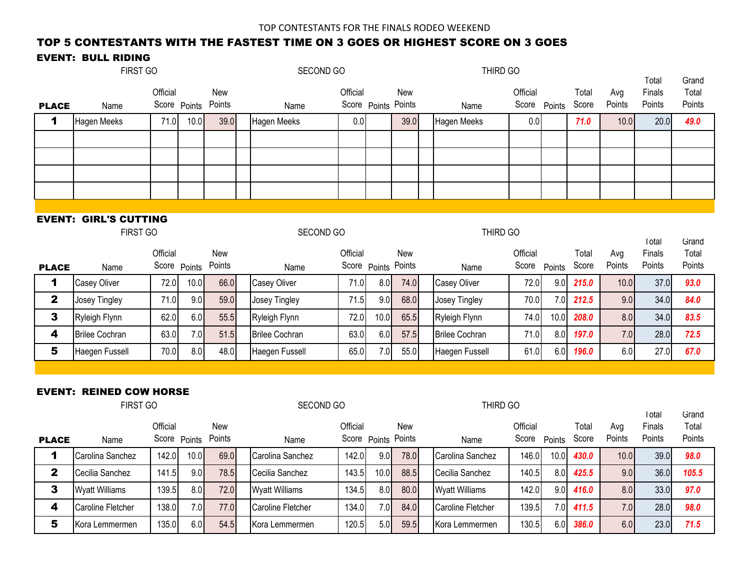### TOP 5 CONTESTANTS WITH THE FASTEST TIME ON 3 GOES OR HIGHEST SCORE ON 3 GOES

#### EVENT: BULL RIDING

|                         | FIRST GO                       |          |              |               | SECOND GO             |          |              |               | THIRD GO              |                   |        |                |               | I otal           | Grand           |
|-------------------------|--------------------------------|----------|--------------|---------------|-----------------------|----------|--------------|---------------|-----------------------|-------------------|--------|----------------|---------------|------------------|-----------------|
|                         |                                | Official |              | New           |                       | Official |              | New           |                       | Official          |        | Total          | Avg           | Finals           | Total           |
| <b>PLACE</b>            | Name                           |          | Score Points | Points        | Name                  |          | Score Points | Points        | Name                  | Score Points      |        | Score          | Points        | Points           | Points          |
| 1                       | <b>Hagen Meeks</b>             | 71.0     | 10.0         | 39.0          | <b>Hagen Meeks</b>    | 0.0      |              | 39.0          | <b>Hagen Meeks</b>    | 0.0               |        | 71.0           | 10.0          | 20.0             | 49.0            |
|                         |                                |          |              |               |                       |          |              |               |                       |                   |        |                |               |                  |                 |
|                         |                                |          |              |               |                       |          |              |               |                       |                   |        |                |               |                  |                 |
|                         |                                |          |              |               |                       |          |              |               |                       |                   |        |                |               |                  |                 |
|                         |                                |          |              |               |                       |          |              |               |                       |                   |        |                |               |                  |                 |
|                         |                                |          |              |               |                       |          |              |               |                       |                   |        |                |               |                  |                 |
|                         | <b>EVENT: GIRL'S CUTTING</b>   |          |              |               |                       |          |              |               |                       |                   |        |                |               |                  |                 |
|                         | FIRST GO                       |          |              |               | SECOND GO             |          |              |               | THIRD GO              |                   |        |                |               | I otal           | Grand           |
|                         |                                | Official |              | New           |                       | Official |              | New           |                       | Official          |        | Total          | Avg           | Finals           | Total           |
| <b>PLACE</b>            | Name                           |          | Score Points | Points        | Name                  |          | Score Points | Points        | Name                  | Score             | Points | Score          | Points        | Points           | Points          |
| 1                       | <b>Casey Oliver</b>            | 72.0     | 10.0         | 66.0          | <b>Casey Oliver</b>   | 71.0     | 8.0          | 74.0          | Casey Oliver          | 72.0              | 9.0    | 215.0          | 10.0          | 37.0             | 93.0            |
| $\overline{\mathbf{2}}$ | Josey Tingley                  | 71.0     | 9.0          | 59.0          | Josey Tingley         | 71.5     | 9.0          | 68.0          | Josey Tingley         | 70.0              | 7.0    | 212.5          | 9.0           | 34.0             | 84.0            |
| 3                       | Ryleigh Flynn                  | 62.0     | 6.0          | 55.5          | Ryleigh Flynn         | 72.0     | 10.0         | 65.5          | Ryleigh Flynn         | 74.0              | 10.0   | 208.0          | 8.0           | 34.0             | 83.5            |
| 4                       | <b>Brilee Cochran</b>          | 63.0     | 7.0          | 51.5          | <b>Brilee Cochran</b> | 63.0     | $6.0$        | 57.5          | <b>Brilee Cochran</b> | 71.0              | 8.0    | 197.0          | 7.0           | 28.0             | 72.5            |
| 5                       | Haegen Fussell                 | 70.0     | 8.0          | 48.0          | Haegen Fussell        | 65.0     | 7.0          | 55.0          | Haegen Fussell        | 61.0              | 6.0    | 196.0          | 6.0           | 27.0             | 67.0            |
|                         |                                |          |              |               |                       |          |              |               |                       |                   |        |                |               |                  |                 |
|                         | <b>EVENT: REINED COW HORSE</b> |          |              |               |                       |          |              |               |                       |                   |        |                |               |                  |                 |
|                         | FIRST GO                       |          |              |               | SECOND GO             |          |              |               | THIRD GO              |                   |        |                |               |                  |                 |
|                         |                                |          |              |               |                       |          |              |               |                       |                   |        |                |               | <b>I</b> otal    | Grand           |
| <b>PLACE</b>            | Name                           | Official | Score Points | New<br>Points | Name                  | Official | Score Points | New<br>Points | Name                  | Official<br>Score | Points | Total<br>Score | Avg<br>Points | Finals<br>Points | Total<br>Points |
| 1                       | Carolina Sanchez               | 142.0    | 10.0         | 69.0          | Carolina Sanchez      | 142.0    | 9.0          | 78.0          | Carolina Sanchez      | 146.0             | 10.0   | 430.0          | 10.0          | 39.0             | 98.0            |
| $\mathbf{2}$            | Cecilia Sanchez                | 141.5    | 9.0          | 78.5          | Cecilia Sanchez       | 143.5    | 10.0         | 88.5          | Cecilia Sanchez       | 140.5             | 8.0    | 425.5          | 9.0           | 36.0             | 105.5           |
| 3                       | <b>Wyatt Williams</b>          | 139.5    | 8.0          | 72.0          | <b>Wyatt Williams</b> | 134.5    | 8.0          | 80.0          | <b>Wyatt Williams</b> | 142.0             | 9.0    | 416.0          | 8.0           | 33.0             | 97.0            |
| 4                       | <b>Caroline Fletcher</b>       | 138.0    | 7.0          | 77.0          | Caroline Fletcher     | 134.0    | 7.0          | 84.0          | Caroline Fletcher     | 139.5             | 7.0    | 411.5          | 7.0           | 28.0             | 98.0            |
| 5                       | Kora Lemmermen                 | 135.0    | 6.0          | 54.5          | Kora Lemmermen        | 120.5    | 5.0          | 59.5          | Kora Lemmermen        | 130.5             | 6.0    | 386.0          | 6.0           | 23.0             | 71.5            |